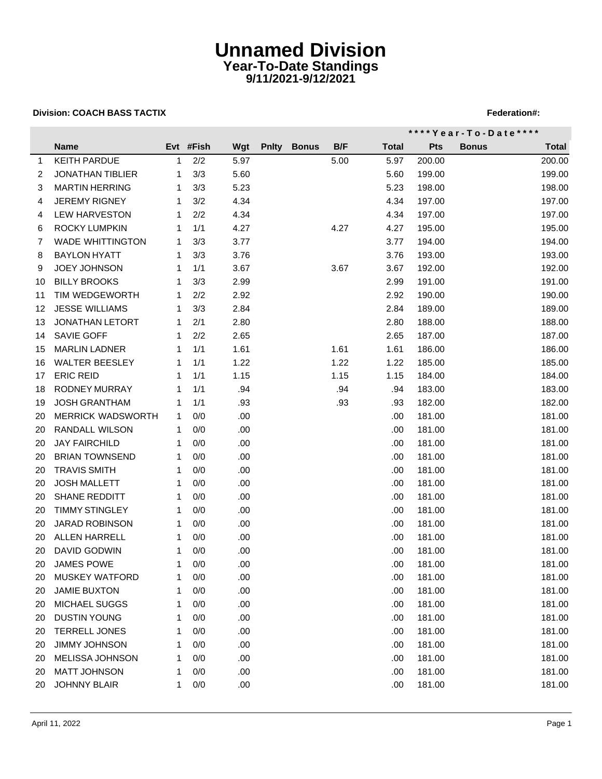## **Unnamed Division Year-To-Date Standings 9/11/2021-9/12/2021**

## **Division: COACH BASS TACTIX FEDERATION: A SEX PROPERTY AND THE SEX PROPERTY REPORT OF STATISTIC PROPERTY AND THE SEX PROPERTY ASSAULT AND THE SEX PROPERTY AND THE SEX PROPERTY ASSAULT ASSAULT AND THE SEX PROPERTY ASSAULT**

|             |                         |    | Evt #Fish | Wgt  | <b>Pnity</b> | <b>Bonus</b> | B/F  | **** Year - To - Date **** |            |              |        |  |
|-------------|-------------------------|----|-----------|------|--------------|--------------|------|----------------------------|------------|--------------|--------|--|
|             | <b>Name</b>             |    |           |      |              |              |      | <b>Total</b>               | <b>Pts</b> | <b>Bonus</b> | Total  |  |
| $\mathbf 1$ | <b>KEITH PARDUE</b>     | 1  | 2/2       | 5.97 |              |              | 5.00 | 5.97                       | 200.00     |              | 200.00 |  |
| 2           | <b>JONATHAN TIBLIER</b> | 1  | 3/3       | 5.60 |              |              |      | 5.60                       | 199.00     |              | 199.00 |  |
| 3           | <b>MARTIN HERRING</b>   | 1  | 3/3       | 5.23 |              |              |      | 5.23                       | 198.00     |              | 198.00 |  |
| 4           | <b>JEREMY RIGNEY</b>    | 1  | 3/2       | 4.34 |              |              |      | 4.34                       | 197.00     |              | 197.00 |  |
| 4           | <b>LEW HARVESTON</b>    | 1  | 2/2       | 4.34 |              |              |      | 4.34                       | 197.00     |              | 197.00 |  |
| 6           | <b>ROCKY LUMPKIN</b>    | 1  | 1/1       | 4.27 |              |              | 4.27 | 4.27                       | 195.00     |              | 195.00 |  |
| 7           | <b>WADE WHITTINGTON</b> | 1  | 3/3       | 3.77 |              |              |      | 3.77                       | 194.00     |              | 194.00 |  |
| 8           | <b>BAYLON HYATT</b>     | 1  | 3/3       | 3.76 |              |              |      | 3.76                       | 193.00     |              | 193.00 |  |
| 9           | <b>JOEY JOHNSON</b>     | 1  | 1/1       | 3.67 |              |              | 3.67 | 3.67                       | 192.00     |              | 192.00 |  |
| 10          | <b>BILLY BROOKS</b>     | 1  | 3/3       | 2.99 |              |              |      | 2.99                       | 191.00     |              | 191.00 |  |
| 11          | TIM WEDGEWORTH          | 1  | 2/2       | 2.92 |              |              |      | 2.92                       | 190.00     |              | 190.00 |  |
| 12          | <b>JESSE WILLIAMS</b>   | 1  | 3/3       | 2.84 |              |              |      | 2.84                       | 189.00     |              | 189.00 |  |
| 13          | <b>JONATHAN LETORT</b>  | 1  | 2/1       | 2.80 |              |              |      | 2.80                       | 188.00     |              | 188.00 |  |
| 14          | SAVIE GOFF              | 1  | 2/2       | 2.65 |              |              |      | 2.65                       | 187.00     |              | 187.00 |  |
| 15          | <b>MARLIN LADNER</b>    | 1  | 1/1       | 1.61 |              |              | 1.61 | 1.61                       | 186.00     |              | 186.00 |  |
| 16          | WALTER BEESLEY          | 1  | 1/1       | 1.22 |              |              | 1.22 | 1.22                       | 185.00     |              | 185.00 |  |
| 17          | <b>ERIC REID</b>        | 1  | 1/1       | 1.15 |              |              | 1.15 | 1.15                       | 184.00     |              | 184.00 |  |
| 18          | <b>RODNEY MURRAY</b>    | 1  | 1/1       | .94  |              |              | .94  | .94                        | 183.00     |              | 183.00 |  |
| 19          | <b>JOSH GRANTHAM</b>    | 1  | 1/1       | .93  |              |              | .93  | .93                        | 182.00     |              | 182.00 |  |
| 20          | MERRICK WADSWORTH       | 1  | 0/0       | .00. |              |              |      | .00.                       | 181.00     |              | 181.00 |  |
| 20          | RANDALL WILSON          | 1  | 0/0       | .00. |              |              |      | .00.                       | 181.00     |              | 181.00 |  |
| 20          | <b>JAY FAIRCHILD</b>    | 1  | 0/0       | .00. |              |              |      | .00                        | 181.00     |              | 181.00 |  |
| 20          | <b>BRIAN TOWNSEND</b>   | 1  | 0/0       | .00. |              |              |      | .00                        | 181.00     |              | 181.00 |  |
| 20          | <b>TRAVIS SMITH</b>     | 1  | 0/0       | .00  |              |              |      | .00                        | 181.00     |              | 181.00 |  |
| 20          | <b>JOSH MALLETT</b>     | 1  | 0/0       | .00. |              |              |      | .00                        | 181.00     |              | 181.00 |  |
| 20          | <b>SHANE REDDITT</b>    | 1  | 0/0       | .00. |              |              |      | .00                        | 181.00     |              | 181.00 |  |
| 20          | <b>TIMMY STINGLEY</b>   | 1  | 0/0       | .00. |              |              |      | .00.                       | 181.00     |              | 181.00 |  |
| 20          | JARAD ROBINSON          | 1  | 0/0       | .00. |              |              |      | .00                        | 181.00     |              | 181.00 |  |
| 20          | ALLEN HARRELL           | 1  | 0/0       | .00. |              |              |      | .00                        | 181.00     |              | 181.00 |  |
| 20          | <b>DAVID GODWIN</b>     | 1  | 0/0       | .00  |              |              |      | .00                        | 181.00     |              | 181.00 |  |
| 20          | <b>JAMES POWE</b>       | 1. | 0/0       | .00. |              |              |      | .00.                       | 181.00     |              | 181.00 |  |
| 20          | <b>MUSKEY WATFORD</b>   |    | 0/0       | .00  |              |              |      | .00                        | 181.00     |              | 181.00 |  |
| 20          | <b>JAMIE BUXTON</b>     |    | 0/0       | .00. |              |              |      | .00                        | 181.00     |              | 181.00 |  |
| 20          | MICHAEL SUGGS           |    | 0/0       | .00  |              |              |      | .00                        | 181.00     |              | 181.00 |  |
| 20          | DUSTIN YOUNG            | 1  | 0/0       | .00. |              |              |      | .00                        | 181.00     |              | 181.00 |  |
| 20          | <b>TERRELL JONES</b>    |    | 0/0       | .00. |              |              |      | .00                        | 181.00     |              | 181.00 |  |
| 20          | JIMMY JOHNSON           |    | 0/0       | .00. |              |              |      | .00                        | 181.00     |              | 181.00 |  |
| 20          | <b>MELISSA JOHNSON</b>  | 1  | 0/0       | .00. |              |              |      | .00                        | 181.00     |              | 181.00 |  |
| 20          | <b>MATT JOHNSON</b>     | 1  | 0/0       | .00. |              |              |      | .00                        | 181.00     |              | 181.00 |  |
| 20          | JOHNNY BLAIR            | 1  | 0/0       | .00  |              |              |      | .00                        | 181.00     |              | 181.00 |  |
|             |                         |    |           |      |              |              |      |                            |            |              |        |  |